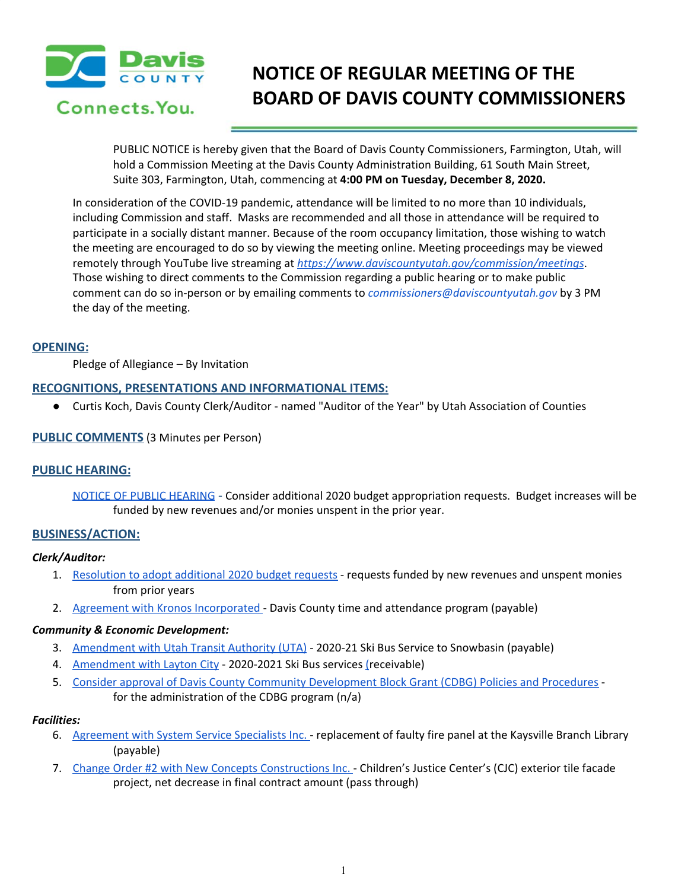

# **NOTICE OF REGULAR MEETING OF THE BOARD OF DAVIS COUNTY COMMISSIONERS**

PUBLIC NOTICE is hereby given that the Board of Davis County Commissioners, Farmington, Utah, will hold a Commission Meeting at the Davis County Administration Building, 61 South Main Street, Suite 303, Farmington, Utah, commencing at **4:00 PM on Tuesday, December 8, 2020.**

In consideration of the COVID-19 pandemic, attendance will be limited to no more than 10 individuals, including Commission and staff. Masks are recommended and all those in attendance will be required to participate in a socially distant manner. Because of the room occupancy limitation, those wishing to watch the meeting are encouraged to do so by viewing the meeting online. Meeting proceedings may be viewed remotely through YouTube live streaming at *<https://www.daviscountyutah.gov/commission/meetings>*. Those wishing to direct comments to the Commission regarding a public hearing or to make public comment can do so in-person or by emailing comments to *commissioners@daviscountyutah.gov* by 3 PM the day of the meeting.

## **OPENING:**

Pledge of Allegiance – By Invitation

# **RECOGNITIONS, PRESENTATIONS AND INFORMATIONAL ITEMS:**

● Curtis Koch, Davis County Clerk/Auditor - named "Auditor of the Year" by Utah Association of Counties

# **PUBLIC COMMENTS** (3 Minutes per Person)

# **PUBLIC HEARING:**

NOTICE OF PUBLIC [HEARING](https://drive.google.com/file/d/1j0BKzVkXynEWTC8liSjTdB18ZcCPV57f/view?usp=drivesdk) - Consider additional 2020 budget appropriation requests. Budget increases will be funded by new revenues and/or monies unspent in the prior year.

# **BUSINESS/ACTION:**

#### *Clerk/Auditor:*

- 1. [Resolution](https://drive.google.com/file/d/11b6wb086aoAC3CSmrgRzkHPDI0dw675_/view?usp=drivesdk) to adopt additional 2020 budget requests requests funded by new revenues and unspent monies from prior years
- 2. Agreement with Kronos [Incorporated](https://drive.google.com/file/d/1DUQAqSp2vrsO_pGPjGCEa3EtQIH8Wy_s/view?usp=drivesdk) Davis County time and attendance program (payable)

## *Community & Economic Development:*

- 3. [Amendment](https://drive.google.com/file/d/16zNLNgdQ4uM1J88NA5WLCrgABxhF6aEN/view?usp=drivesdk) with Utah Transit Authority (UTA) 2020-21 Ski Bus Service to Snowbasin (payable)
- 4. [Amendment](https://drive.google.com/file/d/16psb28l3Ow1QZla3Jvv0i5IY0il4ysNP/view?usp=drivesdk) with Layton City 2020-2021 Ski Bus services [\(](https://drive.google.com/file/d/16psb28l3Ow1QZla3Jvv0i5IY0il4ysNP/view?usp=drivesdk)receivable)
- 5. Consider approval of Davis County Community [Development](https://drive.google.com/file/d/10M_1lk37Un0wwGQIIQH6hfOzpx5ijw8i/view?usp=drivesdk) Block Grant (CDBG) Policies and Procedures for the administration of the CDBG program (n/a)

#### *Facilities:*

- 6. [Agreement](https://drive.google.com/file/d/1y6l1vjKAerg1D3TBU6J8gl2FkQHTP4HF/view?usp=drivesdk) with System Service Specialists Inc. replacement of faulty fire panel at the Kaysville Branch Library (payable)
- 7. Change Order #2 with New Concepts [Constructions](https://drive.google.com/file/d/13WsdtvYdLgBTEOsg-gw1rFm3XCUAaabL/view?usp=drivesdk) Inc. Children's Justice Center's (CJC) exterior tile facade project, net decrease in final contract amount (pass through)